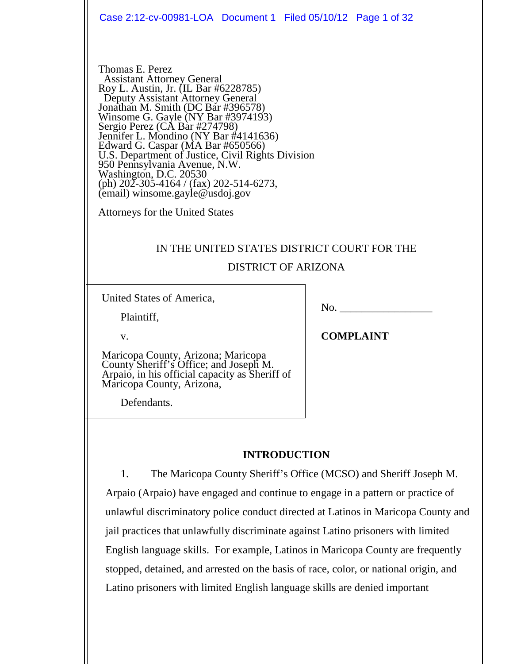Case 2:12-cv-00981-LOA Document 1 Filed 05/10/12 Page 1 of 32

Thomas E. Perez Assistant Attorney General Roy L. Austin, Jr. (IL Bar #6228785) Deputy Assistant Attorney General Jonathan M. Smith (DC Bar #396578) Winsome G. Gayle (NY Bar #3974193) Sergio Perez (CA Bar #274798) Jennifer L. Mondino (NY Bar #4141636) Edward G. Caspar (MA Bar #650566) U.S. Department of Justice, Civil Rights Division 950 Pennsylvania Avenue, N.W. Washington, D.C. 20530 (ph) 202-305-4164 / (fax) 202-514-6273, (email) winsome.gayle@usdoj.gov

Attorneys for the United States

## IN THE UNITED STATES DISTRICT COURT FOR THE

### DISTRICT OF ARIZONA

United States of America,

Plaintiff,

 $\rm No.$ 

v.

1

2

3

4

5

6

7

8

9

10

11

12

13

14

15

16

17

18

19

20

21

22

23

24

25

26

27

28

Maricopa County, Arizona; Maricopa County Sheriff's Office; and Joseph M. Arpaio, in his official capacity as Sheriff of Maricopa County, Arizona,

Defendants.

## **COMPLAINT**

### **INTRODUCTION**

1. The Maricopa County Sheriff's Office (MCSO) and Sheriff Joseph M. Arpaio (Arpaio) have engaged and continue to engage in a pattern or practice of unlawful discriminatory police conduct directed at Latinos in Maricopa County and jail practices that unlawfully discriminate against Latino prisoners with limited English language skills. For example, Latinos in Maricopa County are frequently stopped, detained, and arrested on the basis of race, color, or national origin, and Latino prisoners with limited English language skills are denied important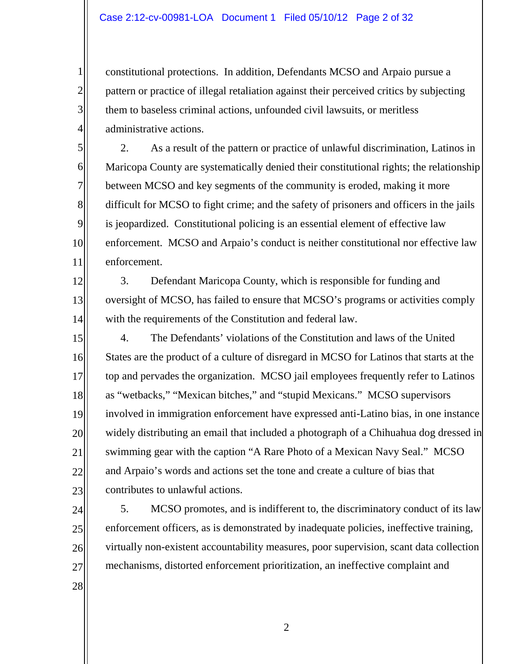constitutional protections. In addition, Defendants MCSO and Arpaio pursue a pattern or practice of illegal retaliation against their perceived critics by subjecting them to baseless criminal actions, unfounded civil lawsuits, or meritless administrative actions.

2. As a result of the pattern or practice of unlawful discrimination, Latinos in Maricopa County are systematically denied their constitutional rights; the relationship between MCSO and key segments of the community is eroded, making it more difficult for MCSO to fight crime; and the safety of prisoners and officers in the jails is jeopardized. Constitutional policing is an essential element of effective law enforcement. MCSO and Arpaio's conduct is neither constitutional nor effective law enforcement.

3. Defendant Maricopa County, which is responsible for funding and oversight of MCSO, has failed to ensure that MCSO's programs or activities comply with the requirements of the Constitution and federal law.

4. The Defendants' violations of the Constitution and laws of the United States are the product of a culture of disregard in MCSO for Latinos that starts at the top and pervades the organization. MCSO jail employees frequently refer to Latinos as "wetbacks," "Mexican bitches," and "stupid Mexicans." MCSO supervisors involved in immigration enforcement have expressed anti-Latino bias, in one instance widely distributing an email that included a photograph of a Chihuahua dog dressed in swimming gear with the caption "A Rare Photo of a Mexican Navy Seal." MCSO and Arpaio's words and actions set the tone and create a culture of bias that contributes to unlawful actions.

5. MCSO promotes, and is indifferent to, the discriminatory conduct of its law enforcement officers, as is demonstrated by inadequate policies, ineffective training, virtually non-existent accountability measures, poor supervision, scant data collection mechanisms, distorted enforcement prioritization, an ineffective complaint and

28

27

1

2

3

4

5

6

7

8

9

10

11

12

13

14

15

16

17

18

19

20

21

22

23

24

25

26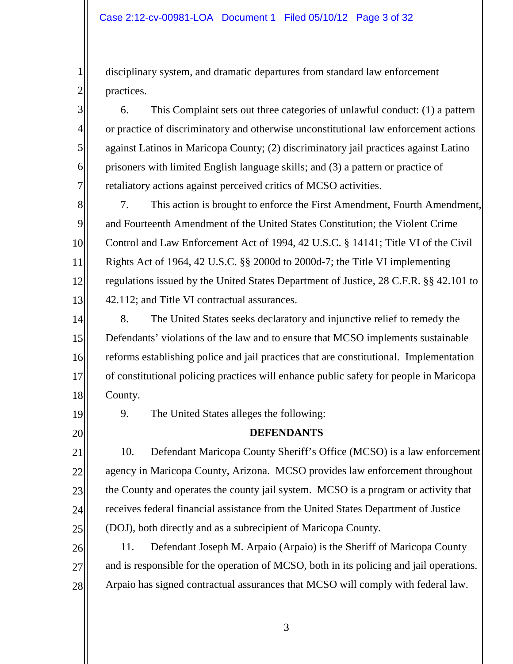disciplinary system, and dramatic departures from standard law enforcement practices.

6. This Complaint sets out three categories of unlawful conduct: (1) a pattern or practice of discriminatory and otherwise unconstitutional law enforcement actions against Latinos in Maricopa County; (2) discriminatory jail practices against Latino prisoners with limited English language skills; and (3) a pattern or practice of retaliatory actions against perceived critics of MCSO activities.

7. This action is brought to enforce the First Amendment, Fourth Amendment, and Fourteenth Amendment of the United States Constitution; the Violent Crime Control and Law Enforcement Act of 1994, 42 U.S.C. § 14141; Title VI of the Civil Rights Act of 1964, 42 U.S.C. §§ 2000d to 2000d-7; the Title VI implementing regulations issued by the United States Department of Justice, 28 C.F.R. §§ 42.101 to 42.112; and Title VI contractual assurances.

8. The United States seeks declaratory and injunctive relief to remedy the Defendants' violations of the law and to ensure that MCSO implements sustainable reforms establishing police and jail practices that are constitutional. Implementation of constitutional policing practices will enhance public safety for people in Maricopa County.

19

1

2

3

4

5

6

7

8

9

10

11

12

13

14

15

16

17

18

20

21

22

23

24

25

26

27

28

9. The United States alleges the following:

### **DEFENDANTS**

10. Defendant Maricopa County Sheriff's Office (MCSO) is a law enforcement agency in Maricopa County, Arizona. MCSO provides law enforcement throughout the County and operates the county jail system. MCSO is a program or activity that receives federal financial assistance from the United States Department of Justice (DOJ), both directly and as a subrecipient of Maricopa County.

11. Defendant Joseph M. Arpaio (Arpaio) is the Sheriff of Maricopa County and is responsible for the operation of MCSO, both in its policing and jail operations. Arpaio has signed contractual assurances that MCSO will comply with federal law.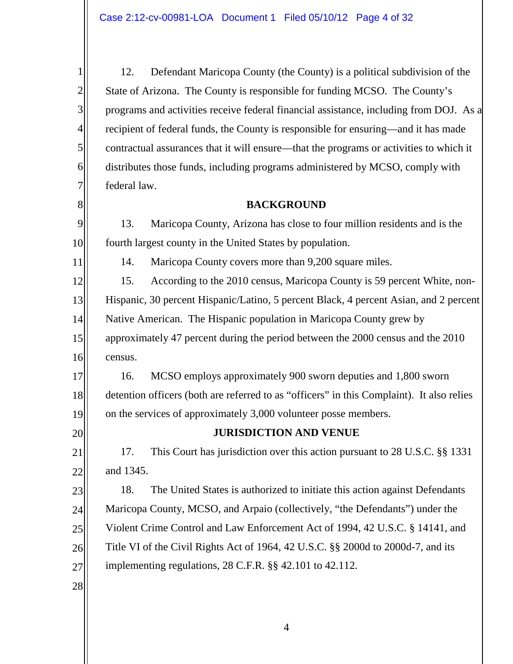12. Defendant Maricopa County (the County) is a political subdivision of the State of Arizona. The County is responsible for funding MCSO. The County's programs and activities receive federal financial assistance, including from DOJ. As a recipient of federal funds, the County is responsible for ensuring—and it has made contractual assurances that it will ensure—that the programs or activities to which it distributes those funds, including programs administered by MCSO, comply with federal law.

### **BACKGROUND**

13. Maricopa County, Arizona has close to four million residents and is the fourth largest county in the United States by population.

14. Maricopa County covers more than 9,200 square miles.

12 13 14 15 16 15. According to the 2010 census, Maricopa County is 59 percent White, non-Hispanic, 30 percent Hispanic/Latino, 5 percent Black, 4 percent Asian, and 2 percent Native American. The Hispanic population in Maricopa County grew by approximately 47 percent during the period between the 2000 census and the 2010 census.

17 18 19 16. MCSO employs approximately 900 sworn deputies and 1,800 sworn detention officers (both are referred to as "officers" in this Complaint). It also relies on the services of approximately 3,000 volunteer posse members.

### **JURISDICTION AND VENUE**

22 17. This Court has jurisdiction over this action pursuant to 28 U.S.C. §§ 1331 and 1345.

23 24 25 26 18. The United States is authorized to initiate this action against Defendants Maricopa County, MCSO, and Arpaio (collectively, "the Defendants") under the Violent Crime Control and Law Enforcement Act of 1994, 42 U.S.C. § 14141, and Title VI of the Civil Rights Act of 1964, 42 U.S.C. §§ 2000d to 2000d-7, and its implementing regulations, 28 C.F.R. §§ 42.101 to 42.112.

28

27

20

21

1

2

3

4

5

6

7

8

9

10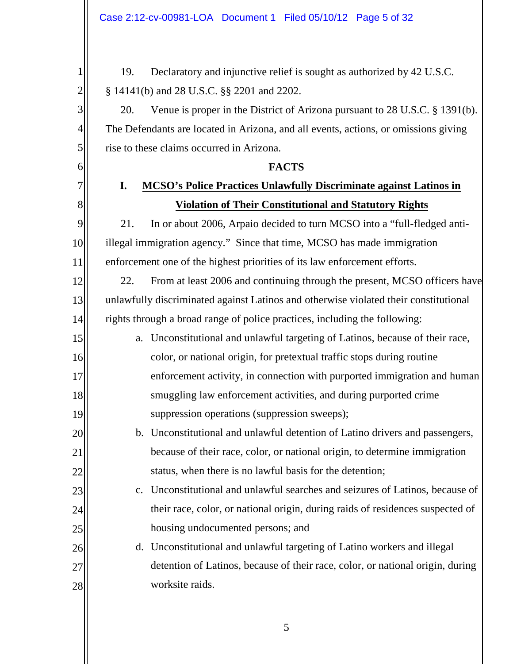2

3

4

5

6

7

8

9

10

11

12

13

14

15

16

17

18

19

20

21

22

23

24

25

26

27

28

19. Declaratory and injunctive relief is sought as authorized by 42 U.S.C. § 14141(b) and 28 U.S.C. §§ 2201 and 2202.

20. Venue is proper in the District of Arizona pursuant to 28 U.S.C. § 1391(b). The Defendants are located in Arizona, and all events, actions, or omissions giving rise to these claims occurred in Arizona.

### **FACTS**

### **I. MCSO's Police Practices Unlawfully Discriminate against Latinos in Violation of Their Constitutional and Statutory Rights**

21. In or about 2006, Arpaio decided to turn MCSO into a "full-fledged antiillegal immigration agency." Since that time, MCSO has made immigration enforcement one of the highest priorities of its law enforcement efforts.

22. From at least 2006 and continuing through the present, MCSO officers have unlawfully discriminated against Latinos and otherwise violated their constitutional rights through a broad range of police practices, including the following:

a. Unconstitutional and unlawful targeting of Latinos, because of their race, color, or national origin, for pretextual traffic stops during routine enforcement activity, in connection with purported immigration and human smuggling law enforcement activities, and during purported crime suppression operations (suppression sweeps);

# b. Unconstitutional and unlawful detention of Latino drivers and passengers, because of their race, color, or national origin, to determine immigration status, when there is no lawful basis for the detention;

c. Unconstitutional and unlawful searches and seizures of Latinos, because of their race, color, or national origin, during raids of residences suspected of housing undocumented persons; and

d. Unconstitutional and unlawful targeting of Latino workers and illegal detention of Latinos, because of their race, color, or national origin, during worksite raids.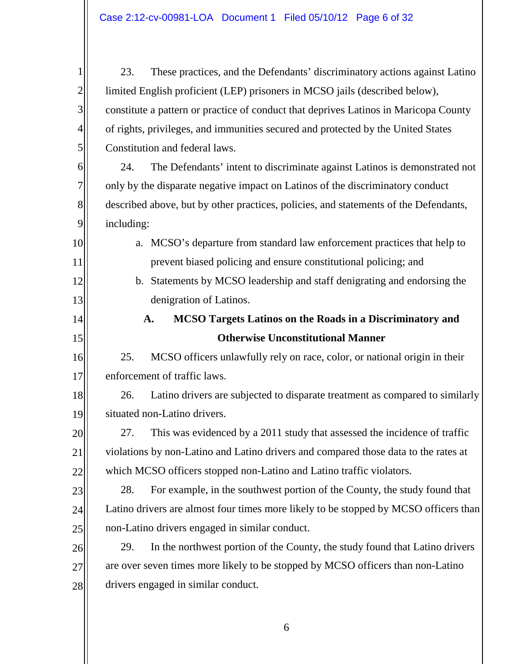2

3

4

5

6

7

8

9

10

11

12

13

14

15

16

17

20

21

22

23

24

25

23. These practices, and the Defendants' discriminatory actions against Latino limited English proficient (LEP) prisoners in MCSO jails (described below), constitute a pattern or practice of conduct that deprives Latinos in Maricopa County of rights, privileges, and immunities secured and protected by the United States Constitution and federal laws.

24. The Defendants' intent to discriminate against Latinos is demonstrated not only by the disparate negative impact on Latinos of the discriminatory conduct described above, but by other practices, policies, and statements of the Defendants, including:

- a. MCSO's departure from standard law enforcement practices that help to prevent biased policing and ensure constitutional policing; and
- b. Statements by MCSO leadership and staff denigrating and endorsing the denigration of Latinos.

# **A. MCSO Targets Latinos on the Roads in a Discriminatory and Otherwise Unconstitutional Manner**

25. MCSO officers unlawfully rely on race, color, or national origin in their enforcement of traffic laws.

18 19 26. Latino drivers are subjected to disparate treatment as compared to similarly situated non-Latino drivers.

27. This was evidenced by a 2011 study that assessed the incidence of traffic violations by non-Latino and Latino drivers and compared those data to the rates at which MCSO officers stopped non-Latino and Latino traffic violators.

28. For example, in the southwest portion of the County, the study found that Latino drivers are almost four times more likely to be stopped by MCSO officers than non-Latino drivers engaged in similar conduct.

26 27 28 29. In the northwest portion of the County, the study found that Latino drivers are over seven times more likely to be stopped by MCSO officers than non-Latino drivers engaged in similar conduct.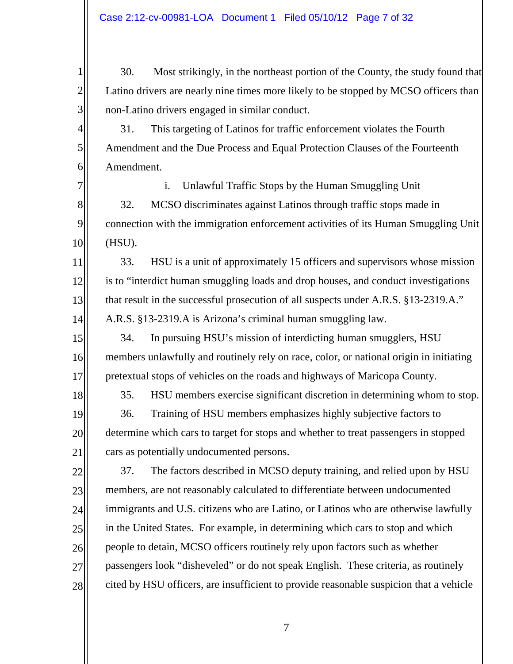2

3

4

5

6

7

8

9

10

11

12

13

14

15

16

17

18

19

20

21

22

23

24

25

26

27

28

30. Most strikingly, in the northeast portion of the County, the study found that Latino drivers are nearly nine times more likely to be stopped by MCSO officers than non-Latino drivers engaged in similar conduct.

31. This targeting of Latinos for traffic enforcement violates the Fourth Amendment and the Due Process and Equal Protection Clauses of the Fourteenth Amendment.

> i. Unlawful Traffic Stops by the Human Smuggling Unit

32. MCSO discriminates against Latinos through traffic stops made in connection with the immigration enforcement activities of its Human Smuggling Unit (HSU).

33. HSU is a unit of approximately 15 officers and supervisors whose mission is to "interdict human smuggling loads and drop houses, and conduct investigations that result in the successful prosecution of all suspects under A.R.S. §13-2319.A." A.R.S. §13-2319.A is Arizona's criminal human smuggling law.

34. In pursuing HSU's mission of interdicting human smugglers, HSU members unlawfully and routinely rely on race, color, or national origin in initiating pretextual stops of vehicles on the roads and highways of Maricopa County.

35. HSU members exercise significant discretion in determining whom to stop. 36. Training of HSU members emphasizes highly subjective factors to determine which cars to target for stops and whether to treat passengers in stopped cars as potentially undocumented persons.

37. The factors described in MCSO deputy training, and relied upon by HSU members, are not reasonably calculated to differentiate between undocumented immigrants and U.S. citizens who are Latino, or Latinos who are otherwise lawfully in the United States. For example, in determining which cars to stop and which people to detain, MCSO officers routinely rely upon factors such as whether passengers look "disheveled" or do not speak English. These criteria, as routinely cited by HSU officers, are insufficient to provide reasonable suspicion that a vehicle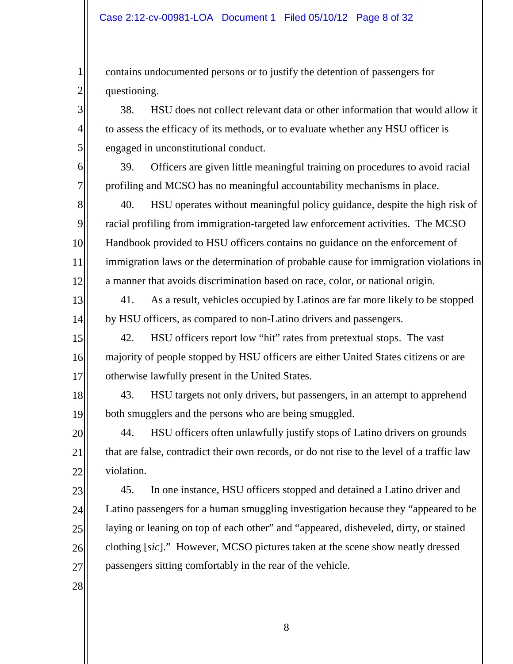contains undocumented persons or to justify the detention of passengers for questioning.

38. HSU does not collect relevant data or other information that would allow it to assess the efficacy of its methods, or to evaluate whether any HSU officer is engaged in unconstitutional conduct.

39. Officers are given little meaningful training on procedures to avoid racial profiling and MCSO has no meaningful accountability mechanisms in place.

40. HSU operates without meaningful policy guidance, despite the high risk of racial profiling from immigration-targeted law enforcement activities. The MCSO Handbook provided to HSU officers contains no guidance on the enforcement of immigration laws or the determination of probable cause for immigration violations in a manner that avoids discrimination based on race, color, or national origin.

41. As a result, vehicles occupied by Latinos are far more likely to be stopped by HSU officers, as compared to non-Latino drivers and passengers.

42. HSU officers report low "hit" rates from pretextual stops. The vast majority of people stopped by HSU officers are either United States citizens or are otherwise lawfully present in the United States.

43. HSU targets not only drivers, but passengers, in an attempt to apprehend both smugglers and the persons who are being smuggled.

44. HSU officers often unlawfully justify stops of Latino drivers on grounds that are false, contradict their own records, or do not rise to the level of a traffic law violation.

45. In one instance, HSU officers stopped and detained a Latino driver and Latino passengers for a human smuggling investigation because they "appeared to be laying or leaning on top of each other" and "appeared, disheveled, dirty, or stained clothing [*sic*]." However, MCSO pictures taken at the scene show neatly dressed passengers sitting comfortably in the rear of the vehicle.

28

27

1

2

3

4

5

6

7

8

9

10

11

12

13

14

15

16

17

18

19

20

21

22

23

24

25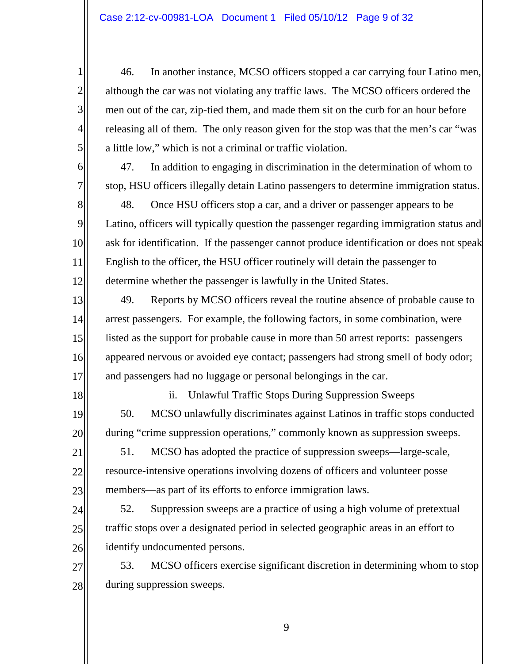46. In another instance, MCSO officers stopped a car carrying four Latino men, although the car was not violating any traffic laws. The MCSO officers ordered the men out of the car, zip-tied them, and made them sit on the curb for an hour before releasing all of them. The only reason given for the stop was that the men's car "was a little low," which is not a criminal or traffic violation.

47. In addition to engaging in discrimination in the determination of whom to stop, HSU officers illegally detain Latino passengers to determine immigration status.

48. Once HSU officers stop a car, and a driver or passenger appears to be Latino, officers will typically question the passenger regarding immigration status and ask for identification. If the passenger cannot produce identification or does not speak English to the officer, the HSU officer routinely will detain the passenger to determine whether the passenger is lawfully in the United States.

49. Reports by MCSO officers reveal the routine absence of probable cause to arrest passengers. For example, the following factors, in some combination, were listed as the support for probable cause in more than 50 arrest reports: passengers appeared nervous or avoided eye contact; passengers had strong smell of body odor; and passengers had no luggage or personal belongings in the car.

18

19

20

21

22

23

1

2

3

4

5

6

7

8

9

10

11

12

13

14

15

16

17

#### ii. Unlawful Traffic Stops During Suppression Sweeps

50. MCSO unlawfully discriminates against Latinos in traffic stops conducted during "crime suppression operations," commonly known as suppression sweeps.

51. MCSO has adopted the practice of suppression sweeps—large-scale, resource-intensive operations involving dozens of officers and volunteer posse members—as part of its efforts to enforce immigration laws.

24 25 26 52. Suppression sweeps are a practice of using a high volume of pretextual traffic stops over a designated period in selected geographic areas in an effort to identify undocumented persons.

27 28 53. MCSO officers exercise significant discretion in determining whom to stop during suppression sweeps.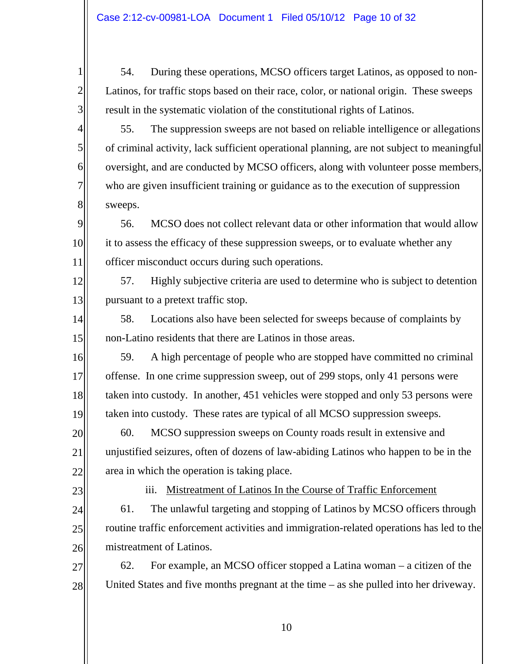54. During these operations, MCSO officers target Latinos, as opposed to non-Latinos, for traffic stops based on their race, color, or national origin. These sweeps result in the systematic violation of the constitutional rights of Latinos.

55. The suppression sweeps are not based on reliable intelligence or allegations of criminal activity, lack sufficient operational planning, are not subject to meaningful oversight, and are conducted by MCSO officers, along with volunteer posse members, who are given insufficient training or guidance as to the execution of suppression sweeps.

56. MCSO does not collect relevant data or other information that would allow it to assess the efficacy of these suppression sweeps, or to evaluate whether any officer misconduct occurs during such operations.

12 13 57. Highly subjective criteria are used to determine who is subject to detention pursuant to a pretext traffic stop.

58. Locations also have been selected for sweeps because of complaints by non-Latino residents that there are Latinos in those areas.

16 17 18 19 59. A high percentage of people who are stopped have committed no criminal offense. In one crime suppression sweep, out of 299 stops, only 41 persons were taken into custody. In another, 451 vehicles were stopped and only 53 persons were taken into custody. These rates are typical of all MCSO suppression sweeps.

20 22 60. MCSO suppression sweeps on County roads result in extensive and unjustified seizures, often of dozens of law-abiding Latinos who happen to be in the area in which the operation is taking place.

23

24

25

26

21

1

2

3

4

5

6

7

8

9

10

11

14

15

iii. Mistreatment of Latinos In the Course of Traffic Enforcement

61. The unlawful targeting and stopping of Latinos by MCSO officers through routine traffic enforcement activities and immigration-related operations has led to the mistreatment of Latinos.

27 28 62. For example, an MCSO officer stopped a Latina woman – a citizen of the United States and five months pregnant at the time – as she pulled into her driveway.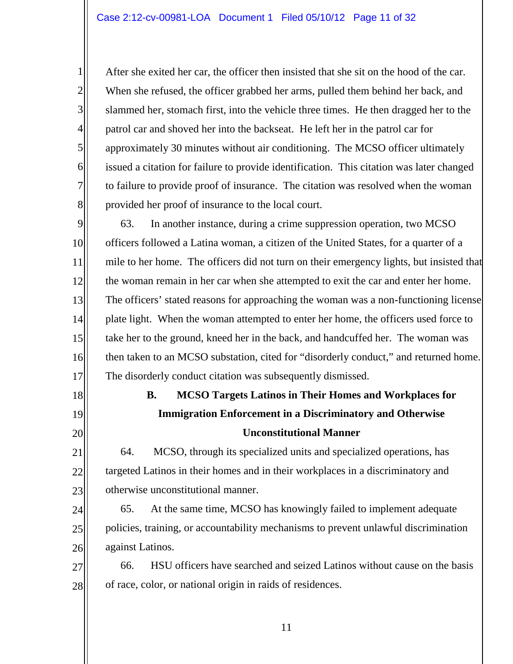2

3

4

5

6

7

8

9

10

11

12

13

14

15

16

17

18

19

20

21

22

23

24

25

26

After she exited her car, the officer then insisted that she sit on the hood of the car. When she refused, the officer grabbed her arms, pulled them behind her back, and slammed her, stomach first, into the vehicle three times. He then dragged her to the patrol car and shoved her into the backseat. He left her in the patrol car for approximately 30 minutes without air conditioning. The MCSO officer ultimately issued a citation for failure to provide identification. This citation was later changed to failure to provide proof of insurance. The citation was resolved when the woman provided her proof of insurance to the local court.

63. In another instance, during a crime suppression operation, two MCSO officers followed a Latina woman, a citizen of the United States, for a quarter of a mile to her home. The officers did not turn on their emergency lights, but insisted that the woman remain in her car when she attempted to exit the car and enter her home. The officers' stated reasons for approaching the woman was a non-functioning license plate light. When the woman attempted to enter her home, the officers used force to take her to the ground, kneed her in the back, and handcuffed her. The woman was then taken to an MCSO substation, cited for "disorderly conduct," and returned home. The disorderly conduct citation was subsequently dismissed.

# **B. MCSO Targets Latinos in Their Homes and Workplaces for Immigration Enforcement in a Discriminatory and Otherwise Unconstitutional Manner**

64. MCSO, through its specialized units and specialized operations, has targeted Latinos in their homes and in their workplaces in a discriminatory and otherwise unconstitutional manner.

65. At the same time, MCSO has knowingly failed to implement adequate policies, training, or accountability mechanisms to prevent unlawful discrimination against Latinos.

27 28 66. HSU officers have searched and seized Latinos without cause on the basis of race, color, or national origin in raids of residences.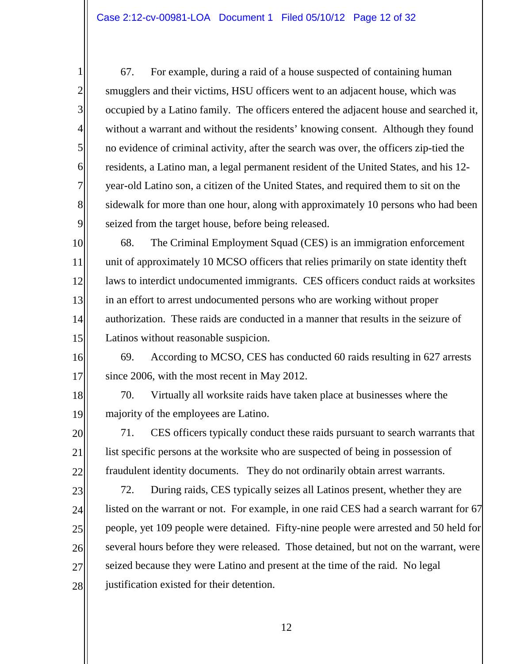2

3

4

5

6

7

8

9

16

17

18

19

20

21

22

23

24

25

26

27

28

67. For example, during a raid of a house suspected of containing human smugglers and their victims, HSU officers went to an adjacent house, which was occupied by a Latino family. The officers entered the adjacent house and searched it, without a warrant and without the residents' knowing consent. Although they found no evidence of criminal activity, after the search was over, the officers zip-tied the residents, a Latino man, a legal permanent resident of the United States, and his 12 year-old Latino son, a citizen of the United States, and required them to sit on the sidewalk for more than one hour, along with approximately 10 persons who had been seized from the target house, before being released.

10 11 12 13 14 15 68. The Criminal Employment Squad (CES) is an immigration enforcement unit of approximately 10 MCSO officers that relies primarily on state identity theft laws to interdict undocumented immigrants. CES officers conduct raids at worksites in an effort to arrest undocumented persons who are working without proper authorization. These raids are conducted in a manner that results in the seizure of Latinos without reasonable suspicion.

69. According to MCSO, CES has conducted 60 raids resulting in 627 arrests since 2006, with the most recent in May 2012.

70. Virtually all worksite raids have taken place at businesses where the majority of the employees are Latino.

71. CES officers typically conduct these raids pursuant to search warrants that list specific persons at the worksite who are suspected of being in possession of fraudulent identity documents. They do not ordinarily obtain arrest warrants.

72. During raids, CES typically seizes all Latinos present, whether they are listed on the warrant or not. For example, in one raid CES had a search warrant for 67 people, yet 109 people were detained. Fifty-nine people were arrested and 50 held for several hours before they were released. Those detained, but not on the warrant, were seized because they were Latino and present at the time of the raid. No legal justification existed for their detention.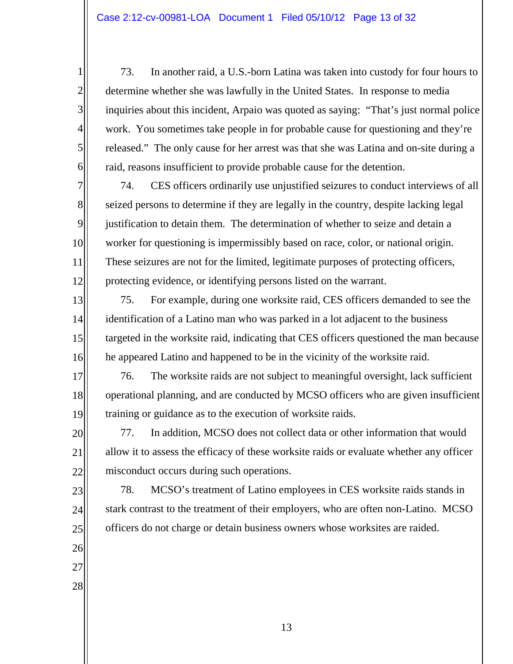73. In another raid, a U.S.-born Latina was taken into custody for four hours to determine whether she was lawfully in the United States. In response to media inquiries about this incident, Arpaio was quoted as saying: "That's just normal police work. You sometimes take people in for probable cause for questioning and they're released." The only cause for her arrest was that she was Latina and on-site during a raid, reasons insufficient to provide probable cause for the detention.

74. CES officers ordinarily use unjustified seizures to conduct interviews of all seized persons to determine if they are legally in the country, despite lacking legal justification to detain them. The determination of whether to seize and detain a worker for questioning is impermissibly based on race, color, or national origin. These seizures are not for the limited, legitimate purposes of protecting officers, protecting evidence, or identifying persons listed on the warrant.

75. For example, during one worksite raid, CES officers demanded to see the identification of a Latino man who was parked in a lot adjacent to the business targeted in the worksite raid, indicating that CES officers questioned the man because he appeared Latino and happened to be in the vicinity of the worksite raid.

76. The worksite raids are not subject to meaningful oversight, lack sufficient operational planning, and are conducted by MCSO officers who are given insufficient training or guidance as to the execution of worksite raids.

77. In addition, MCSO does not collect data or other information that would allow it to assess the efficacy of these worksite raids or evaluate whether any officer misconduct occurs during such operations.

78. MCSO's treatment of Latino employees in CES worksite raids stands in stark contrast to the treatment of their employers, who are often non-Latino. MCSO officers do not charge or detain business owners whose worksites are raided.

1

2

3

- 24 25
- 26

28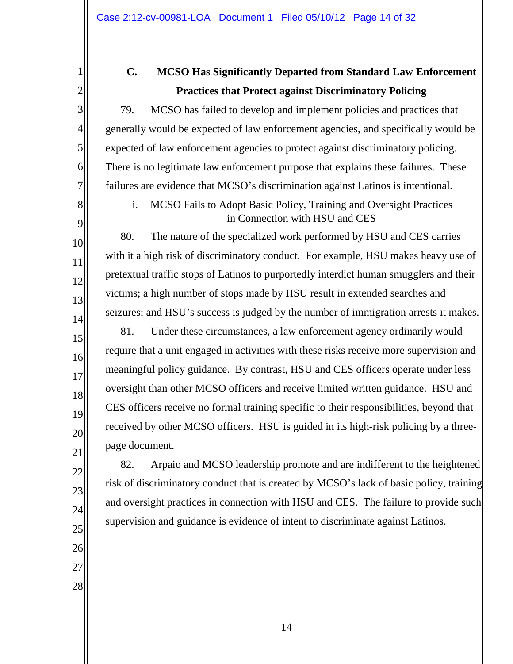# **C. MCSO Has Significantly Departed from Standard Law Enforcement Practices that Protect against Discriminatory Policing**

79. MCSO has failed to develop and implement policies and practices that generally would be expected of law enforcement agencies, and specifically would be expected of law enforcement agencies to protect against discriminatory policing. There is no legitimate law enforcement purpose that explains these failures. These failures are evidence that MCSO's discrimination against Latinos is intentional.

### i. MCSO Fails to Adopt Basic Policy, Training and Oversight Practices in Connection with HSU and CES

80. The nature of the specialized work performed by HSU and CES carries with it a high risk of discriminatory conduct. For example, HSU makes heavy use of pretextual traffic stops of Latinos to purportedly interdict human smugglers and their victims; a high number of stops made by HSU result in extended searches and seizures; and HSU's success is judged by the number of immigration arrests it makes.

81. Under these circumstances, a law enforcement agency ordinarily would require that a unit engaged in activities with these risks receive more supervision and meaningful policy guidance. By contrast, HSU and CES officers operate under less oversight than other MCSO officers and receive limited written guidance. HSU and CES officers receive no formal training specific to their responsibilities, beyond that received by other MCSO officers. HSU is guided in its high-risk policing by a threepage document.

82. Arpaio and MCSO leadership promote and are indifferent to the heightened risk of discriminatory conduct that is created by MCSO's lack of basic policy, training and oversight practices in connection with HSU and CES. The failure to provide such supervision and guidance is evidence of intent to discriminate against Latinos.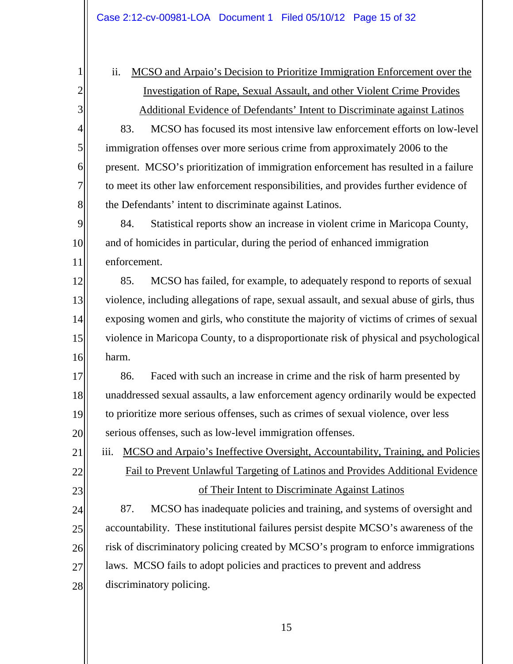2

3

4

5

6

7

8

21

22

23

24

25

26

27

28

ii. MCSO and Arpaio's Decision to Prioritize Immigration Enforcement over the Investigation of Rape, Sexual Assault, and other Violent Crime Provides Additional Evidence of Defendants' Intent to Discriminate against Latinos

83. MCSO has focused its most intensive law enforcement efforts on low-level immigration offenses over more serious crime from approximately 2006 to the present. MCSO's prioritization of immigration enforcement has resulted in a failure to meet its other law enforcement responsibilities, and provides further evidence of the Defendants' intent to discriminate against Latinos.

9 10 11 84. Statistical reports show an increase in violent crime in Maricopa County, and of homicides in particular, during the period of enhanced immigration enforcement.

12 13 14 15 16 85. MCSO has failed, for example, to adequately respond to reports of sexual violence, including allegations of rape, sexual assault, and sexual abuse of girls, thus exposing women and girls, who constitute the majority of victims of crimes of sexual violence in Maricopa County, to a disproportionate risk of physical and psychological harm.

17 18 19 20 86. Faced with such an increase in crime and the risk of harm presented by unaddressed sexual assaults, a law enforcement agency ordinarily would be expected to prioritize more serious offenses, such as crimes of sexual violence, over less serious offenses, such as low-level immigration offenses.

iii. MCSO and Arpaio's Ineffective Oversight, Accountability, Training, and Policies Fail to Prevent Unlawful Targeting of Latinos and Provides Additional Evidence of Their Intent to Discriminate Against Latinos

87. MCSO has inadequate policies and training, and systems of oversight and accountability. These institutional failures persist despite MCSO's awareness of the risk of discriminatory policing created by MCSO's program to enforce immigrations laws. MCSO fails to adopt policies and practices to prevent and address discriminatory policing.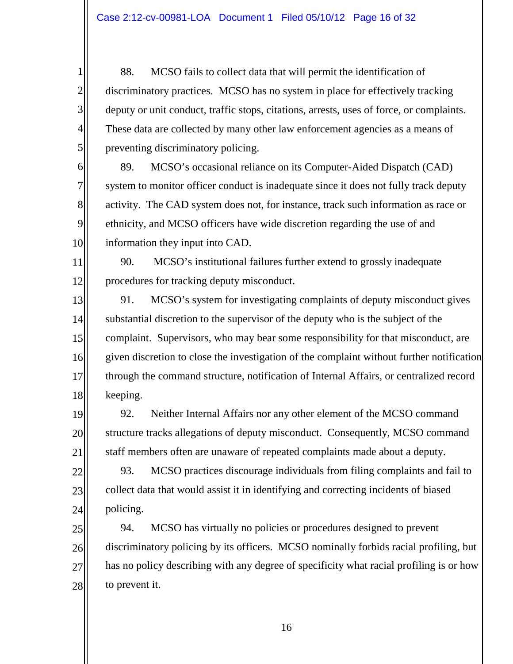2

3

4

5

6

7

8

9

10

11

12

19

20

21

22

23

24

25

27

28

88. MCSO fails to collect data that will permit the identification of discriminatory practices. MCSO has no system in place for effectively tracking deputy or unit conduct, traffic stops, citations, arrests, uses of force, or complaints. These data are collected by many other law enforcement agencies as a means of preventing discriminatory policing.

89. MCSO's occasional reliance on its Computer-Aided Dispatch (CAD) system to monitor officer conduct is inadequate since it does not fully track deputy activity. The CAD system does not, for instance, track such information as race or ethnicity, and MCSO officers have wide discretion regarding the use of and information they input into CAD.

90. MCSO's institutional failures further extend to grossly inadequate procedures for tracking deputy misconduct.

13 14 15 16 17 18 91. MCSO's system for investigating complaints of deputy misconduct gives substantial discretion to the supervisor of the deputy who is the subject of the complaint. Supervisors, who may bear some responsibility for that misconduct, are given discretion to close the investigation of the complaint without further notification through the command structure, notification of Internal Affairs, or centralized record keeping.

92. Neither Internal Affairs nor any other element of the MCSO command structure tracks allegations of deputy misconduct. Consequently, MCSO command staff members often are unaware of repeated complaints made about a deputy.

93. MCSO practices discourage individuals from filing complaints and fail to collect data that would assist it in identifying and correcting incidents of biased policing.

26 94. MCSO has virtually no policies or procedures designed to prevent discriminatory policing by its officers. MCSO nominally forbids racial profiling, but has no policy describing with any degree of specificity what racial profiling is or how to prevent it.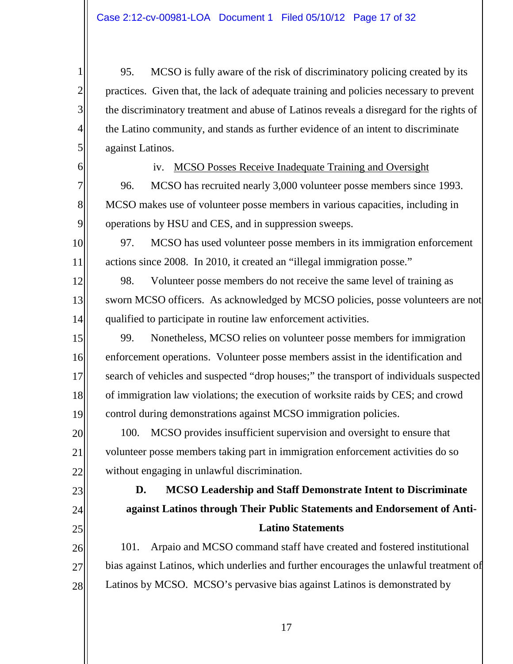95. MCSO is fully aware of the risk of discriminatory policing created by its practices. Given that, the lack of adequate training and policies necessary to prevent the discriminatory treatment and abuse of Latinos reveals a disregard for the rights of the Latino community, and stands as further evidence of an intent to discriminate against Latinos.

6

7

8

9

10

11

12

13

14

15

16

17

18

19

20

21

22

23

24

25

1

2

3

4

5

### iv. MCSO Posses Receive Inadequate Training and Oversight

96. MCSO has recruited nearly 3,000 volunteer posse members since 1993. MCSO makes use of volunteer posse members in various capacities, including in operations by HSU and CES, and in suppression sweeps.

97. MCSO has used volunteer posse members in its immigration enforcement actions since 2008. In 2010, it created an "illegal immigration posse."

98. Volunteer posse members do not receive the same level of training as sworn MCSO officers. As acknowledged by MCSO policies, posse volunteers are not qualified to participate in routine law enforcement activities.

99. Nonetheless, MCSO relies on volunteer posse members for immigration enforcement operations. Volunteer posse members assist in the identification and search of vehicles and suspected "drop houses;" the transport of individuals suspected of immigration law violations; the execution of worksite raids by CES; and crowd control during demonstrations against MCSO immigration policies.

100. MCSO provides insufficient supervision and oversight to ensure that volunteer posse members taking part in immigration enforcement activities do so without engaging in unlawful discrimination.

# **D. MCSO Leadership and Staff Demonstrate Intent to Discriminate against Latinos through Their Public Statements and Endorsement of Anti-Latino Statements**

26 27 28 101. Arpaio and MCSO command staff have created and fostered institutional bias against Latinos, which underlies and further encourages the unlawful treatment of Latinos by MCSO. MCSO's pervasive bias against Latinos is demonstrated by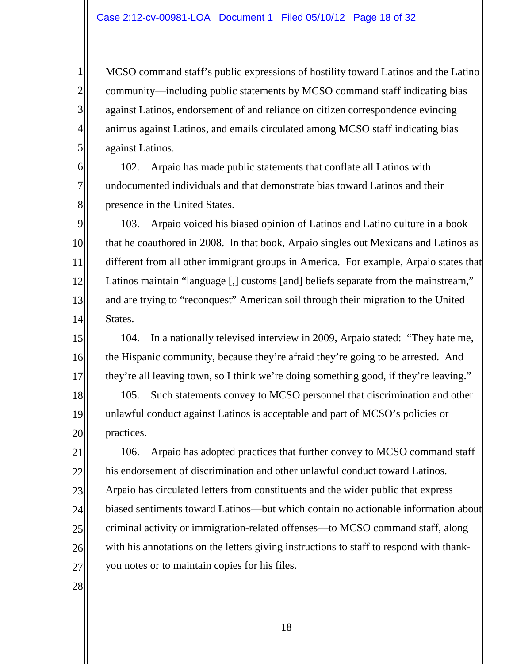MCSO command staff's public expressions of hostility toward Latinos and the Latino community—including public statements by MCSO command staff indicating bias against Latinos, endorsement of and reliance on citizen correspondence evincing animus against Latinos, and emails circulated among MCSO staff indicating bias against Latinos.

102. Arpaio has made public statements that conflate all Latinos with undocumented individuals and that demonstrate bias toward Latinos and their presence in the United States.

103. Arpaio voiced his biased opinion of Latinos and Latino culture in a book that he coauthored in 2008. In that book, Arpaio singles out Mexicans and Latinos as different from all other immigrant groups in America. For example, Arpaio states that Latinos maintain "language [,] customs [and] beliefs separate from the mainstream," and are trying to "reconquest" American soil through their migration to the United States.

104. In a nationally televised interview in 2009, Arpaio stated: "They hate me, the Hispanic community, because they're afraid they're going to be arrested. And they're all leaving town, so I think we're doing something good, if they're leaving."

105. Such statements convey to MCSO personnel that discrimination and other unlawful conduct against Latinos is acceptable and part of MCSO's policies or practices.

106. Arpaio has adopted practices that further convey to MCSO command staff his endorsement of discrimination and other unlawful conduct toward Latinos. Arpaio has circulated letters from constituents and the wider public that express biased sentiments toward Latinos—but which contain no actionable information about criminal activity or immigration-related offenses—to MCSO command staff, along with his annotations on the letters giving instructions to staff to respond with thankyou notes or to maintain copies for his files.

24 25 26

1

2

3

4

5

6

7

8

9

10

11

12

13

14

15

16

17

18

19

20

21

22

- 27
- 28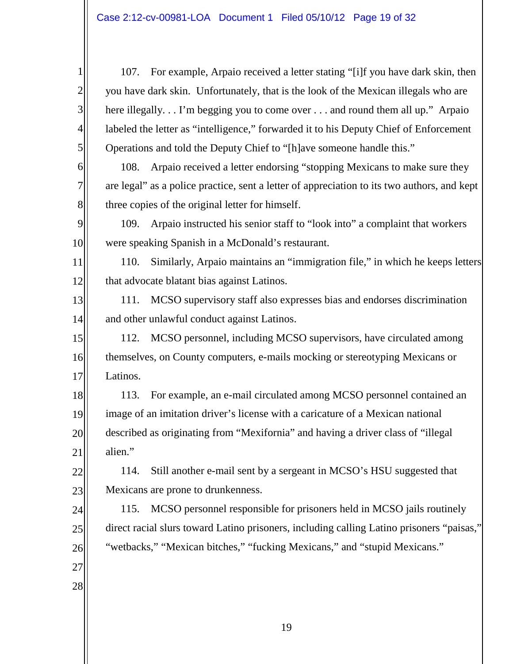2

3

4

5

6

7

8

13

22

23

24

25

26

27

28

107. For example, Arpaio received a letter stating "[i]f you have dark skin, then you have dark skin. Unfortunately, that is the look of the Mexican illegals who are here illegally. . . I'm begging you to come over . . . and round them all up." Arpaio labeled the letter as "intelligence," forwarded it to his Deputy Chief of Enforcement Operations and told the Deputy Chief to "[h]ave someone handle this."

108. Arpaio received a letter endorsing "stopping Mexicans to make sure they are legal" as a police practice, sent a letter of appreciation to its two authors, and kept three copies of the original letter for himself.

9 10 109. Arpaio instructed his senior staff to "look into" a complaint that workers were speaking Spanish in a McDonald's restaurant.

11 12 110. Similarly, Arpaio maintains an "immigration file," in which he keeps letters that advocate blatant bias against Latinos.

14 111. MCSO supervisory staff also expresses bias and endorses discrimination and other unlawful conduct against Latinos.

15 16 17 112. MCSO personnel, including MCSO supervisors, have circulated among themselves, on County computers, e-mails mocking or stereotyping Mexicans or Latinos.

18 19 20 21 113. For example, an e-mail circulated among MCSO personnel contained an image of an imitation driver's license with a caricature of a Mexican national described as originating from "Mexifornia" and having a driver class of "illegal alien."

114. Still another e-mail sent by a sergeant in MCSO's HSU suggested that Mexicans are prone to drunkenness.

115. MCSO personnel responsible for prisoners held in MCSO jails routinely direct racial slurs toward Latino prisoners, including calling Latino prisoners "paisas," "wetbacks," "Mexican bitches," "fucking Mexicans," and "stupid Mexicans."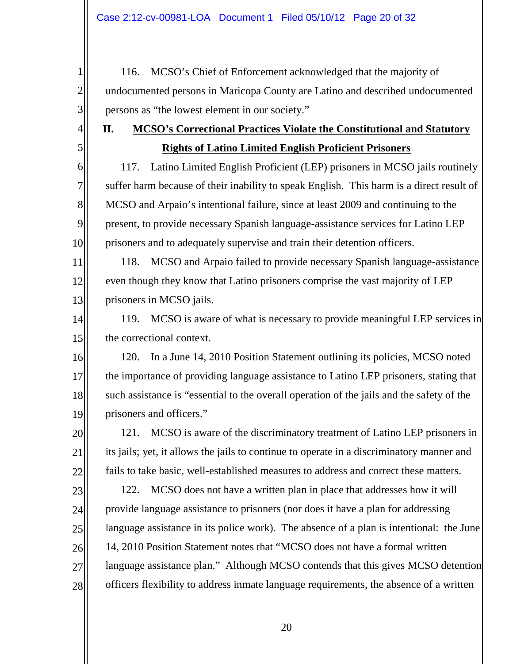2

3

4

5

6

7

8

9

10

11

20

21

22

23

24

25

27

28

116. MCSO's Chief of Enforcement acknowledged that the majority of undocumented persons in Maricopa County are Latino and described undocumented persons as "the lowest element in our society."

### **II. MCSO's Correctional Practices Violate the Constitutional and Statutory Rights of Latino Limited English Proficient Prisoners**

117. Latino Limited English Proficient (LEP) prisoners in MCSO jails routinely suffer harm because of their inability to speak English. This harm is a direct result of MCSO and Arpaio's intentional failure, since at least 2009 and continuing to the present, to provide necessary Spanish language-assistance services for Latino LEP prisoners and to adequately supervise and train their detention officers.

12 13 118. MCSO and Arpaio failed to provide necessary Spanish language-assistance even though they know that Latino prisoners comprise the vast majority of LEP prisoners in MCSO jails.

14 15 119. MCSO is aware of what is necessary to provide meaningful LEP services in the correctional context.

16 17 18 19 120. In a June 14, 2010 Position Statement outlining its policies, MCSO noted the importance of providing language assistance to Latino LEP prisoners, stating that such assistance is "essential to the overall operation of the jails and the safety of the prisoners and officers."

121. MCSO is aware of the discriminatory treatment of Latino LEP prisoners in its jails; yet, it allows the jails to continue to operate in a discriminatory manner and fails to take basic, well-established measures to address and correct these matters.

26 122. MCSO does not have a written plan in place that addresses how it will provide language assistance to prisoners (nor does it have a plan for addressing language assistance in its police work). The absence of a plan is intentional: the June 14, 2010 Position Statement notes that "MCSO does not have a formal written language assistance plan." Although MCSO contends that this gives MCSO detention officers flexibility to address inmate language requirements, the absence of a written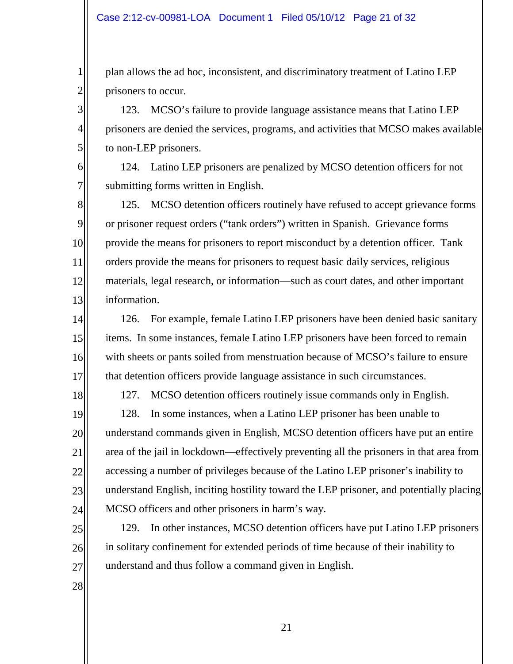plan allows the ad hoc, inconsistent, and discriminatory treatment of Latino LEP prisoners to occur.

123. MCSO's failure to provide language assistance means that Latino LEP prisoners are denied the services, programs, and activities that MCSO makes available to non-LEP prisoners.

124. Latino LEP prisoners are penalized by MCSO detention officers for not submitting forms written in English.

125. MCSO detention officers routinely have refused to accept grievance forms or prisoner request orders ("tank orders") written in Spanish. Grievance forms provide the means for prisoners to report misconduct by a detention officer. Tank orders provide the means for prisoners to request basic daily services, religious materials, legal research, or information—such as court dates, and other important information.

126. For example, female Latino LEP prisoners have been denied basic sanitary items. In some instances, female Latino LEP prisoners have been forced to remain with sheets or pants soiled from menstruation because of MCSO's failure to ensure that detention officers provide language assistance in such circumstances.

18

19

20

21

22

23

24

25

26

27

17

1

2

3

4

5

6

7

8

9

10

11

12

13

14

15

16

127. MCSO detention officers routinely issue commands only in English.

128. In some instances, when a Latino LEP prisoner has been unable to understand commands given in English, MCSO detention officers have put an entire area of the jail in lockdown—effectively preventing all the prisoners in that area from accessing a number of privileges because of the Latino LEP prisoner's inability to understand English, inciting hostility toward the LEP prisoner, and potentially placing MCSO officers and other prisoners in harm's way.

129. In other instances, MCSO detention officers have put Latino LEP prisoners in solitary confinement for extended periods of time because of their inability to understand and thus follow a command given in English.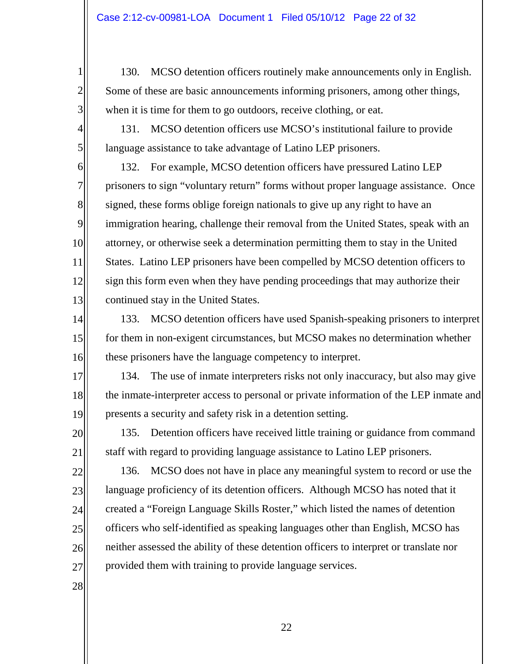130. MCSO detention officers routinely make announcements only in English. Some of these are basic announcements informing prisoners, among other things, when it is time for them to go outdoors, receive clothing, or eat.

131. MCSO detention officers use MCSO's institutional failure to provide language assistance to take advantage of Latino LEP prisoners.

132. For example, MCSO detention officers have pressured Latino LEP prisoners to sign "voluntary return" forms without proper language assistance. Once signed, these forms oblige foreign nationals to give up any right to have an immigration hearing, challenge their removal from the United States, speak with an attorney, or otherwise seek a determination permitting them to stay in the United States. Latino LEP prisoners have been compelled by MCSO detention officers to sign this form even when they have pending proceedings that may authorize their continued stay in the United States.

133. MCSO detention officers have used Spanish-speaking prisoners to interpret for them in non-exigent circumstances, but MCSO makes no determination whether these prisoners have the language competency to interpret.

134. The use of inmate interpreters risks not only inaccuracy, but also may give the inmate-interpreter access to personal or private information of the LEP inmate and presents a security and safety risk in a detention setting.

135. Detention officers have received little training or guidance from command staff with regard to providing language assistance to Latino LEP prisoners.

136. MCSO does not have in place any meaningful system to record or use the language proficiency of its detention officers. Although MCSO has noted that it created a "Foreign Language Skills Roster," which listed the names of detention officers who self-identified as speaking languages other than English, MCSO has neither assessed the ability of these detention officers to interpret or translate nor provided them with training to provide language services.

28

1

2

3

4

5

6

7

8

9

10

11

12

13

14

15

16

17

18

19

20

21

22

23

24

25

26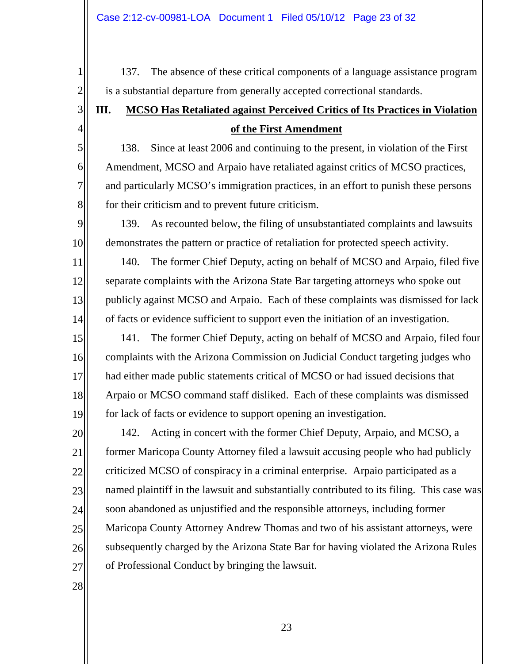1 2 3 4 5 6 7 8 9 10 11 12 13 14 15 16 137. The absence of these critical components of a language assistance program is a substantial departure from generally accepted correctional standards. **III.** 138. Since at least 2006 and continuing to the present, in violation of the First Amendment, MCSO and Arpaio have retaliated against critics of MCSO practices, and particularly MCSO's immigration practices, in an effort to punish these persons for their criticism and to prevent future criticism. **MCSO Has Retaliated against Perceived Critics of Its Practices in Violation of the First Amendment** 139. As recounted below, the filing of unsubstantiated complaints and lawsuits demonstrates the pattern or practice of retaliation for protected speech activity. 140. The former Chief Deputy, acting on behalf of MCSO and Arpaio, filed five separate complaints with the Arizona State Bar targeting attorneys who spoke out publicly against MCSO and Arpaio. Each of these complaints was dismissed for lack of facts or evidence sufficient to support even the initiation of an investigation. 141. The former Chief Deputy, acting on behalf of MCSO and Arpaio, filed four

complaints with the Arizona Commission on Judicial Conduct targeting judges who had either made public statements critical of MCSO or had issued decisions that Arpaio or MCSO command staff disliked. Each of these complaints was dismissed for lack of facts or evidence to support opening an investigation.

26 142. Acting in concert with the former Chief Deputy, Arpaio, and MCSO, a former Maricopa County Attorney filed a lawsuit accusing people who had publicly criticized MCSO of conspiracy in a criminal enterprise. Arpaio participated as a named plaintiff in the lawsuit and substantially contributed to its filing. This case was soon abandoned as unjustified and the responsible attorneys, including former Maricopa County Attorney Andrew Thomas and two of his assistant attorneys, were subsequently charged by the Arizona State Bar for having violated the Arizona Rules of Professional Conduct by bringing the lawsuit.

28

27

17

18

19

20

21

22

23

24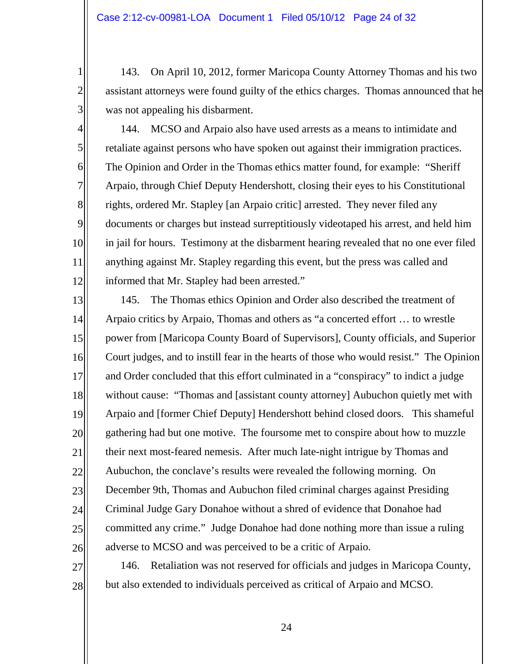2

3

4

5

6

7

8

9

10

11

12

27

28

143. On April 10, 2012, former Maricopa County Attorney Thomas and his two assistant attorneys were found guilty of the ethics charges. Thomas announced that he was not appealing his disbarment.

144. MCSO and Arpaio also have used arrests as a means to intimidate and retaliate against persons who have spoken out against their immigration practices. The Opinion and Order in the Thomas ethics matter found, for example: "Sheriff Arpaio, through Chief Deputy Hendershott, closing their eyes to his Constitutional rights, ordered Mr. Stapley [an Arpaio critic] arrested. They never filed any documents or charges but instead surreptitiously videotaped his arrest, and held him in jail for hours. Testimony at the disbarment hearing revealed that no one ever filed anything against Mr. Stapley regarding this event, but the press was called and informed that Mr. Stapley had been arrested."

13 14 15 16 17 18 19 20 21 22 23 24 25 26 145. The Thomas ethics Opinion and Order also described the treatment of Arpaio critics by Arpaio, Thomas and others as "a concerted effort … to wrestle power from [Maricopa County Board of Supervisors], County officials, and Superior Court judges, and to instill fear in the hearts of those who would resist." The Opinion and Order concluded that this effort culminated in a "conspiracy" to indict a judge without cause: "Thomas and [assistant county attorney] Aubuchon quietly met with Arpaio and [former Chief Deputy] Hendershott behind closed doors. This shameful gathering had but one motive. The foursome met to conspire about how to muzzle their next most-feared nemesis. After much late-night intrigue by Thomas and Aubuchon, the conclave's results were revealed the following morning. On December 9th, Thomas and Aubuchon filed criminal charges against Presiding Criminal Judge Gary Donahoe without a shred of evidence that Donahoe had committed any crime." Judge Donahoe had done nothing more than issue a ruling adverse to MCSO and was perceived to be a critic of Arpaio.

146. Retaliation was not reserved for officials and judges in Maricopa County, but also extended to individuals perceived as critical of Arpaio and MCSO.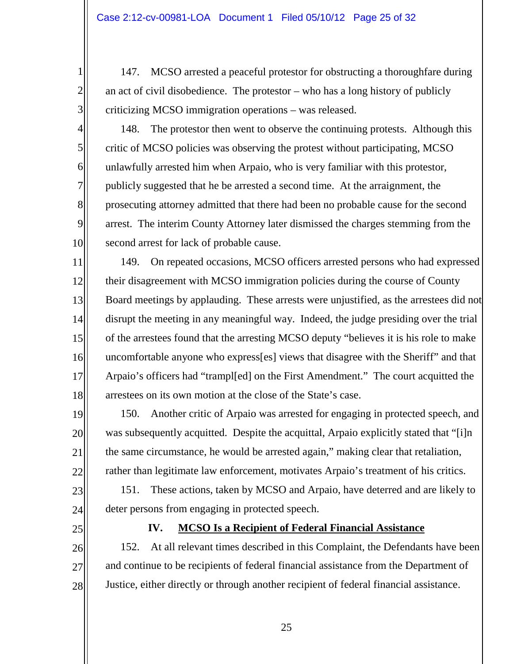147. MCSO arrested a peaceful protestor for obstructing a thoroughfare during an act of civil disobedience. The protestor – who has a long history of publicly criticizing MCSO immigration operations – was released.

148. The protestor then went to observe the continuing protests. Although this critic of MCSO policies was observing the protest without participating, MCSO unlawfully arrested him when Arpaio, who is very familiar with this protestor, publicly suggested that he be arrested a second time. At the arraignment, the prosecuting attorney admitted that there had been no probable cause for the second arrest. The interim County Attorney later dismissed the charges stemming from the second arrest for lack of probable cause.

12 13 14 15 16 17 18 149. On repeated occasions, MCSO officers arrested persons who had expressed their disagreement with MCSO immigration policies during the course of County Board meetings by applauding. These arrests were unjustified, as the arrestees did not disrupt the meeting in any meaningful way. Indeed, the judge presiding over the trial of the arrestees found that the arresting MCSO deputy "believes it is his role to make uncomfortable anyone who express[es] views that disagree with the Sheriff" and that Arpaio's officers had "trampl[ed] on the First Amendment." The court acquitted the arrestees on its own motion at the close of the State's case.

150. Another critic of Arpaio was arrested for engaging in protected speech, and was subsequently acquitted. Despite the acquittal, Arpaio explicitly stated that "[i]n the same circumstance, he would be arrested again," making clear that retaliation, rather than legitimate law enforcement, motivates Arpaio's treatment of his critics.

151. These actions, taken by MCSO and Arpaio, have deterred and are likely to deter persons from engaging in protected speech.

1

2

3

4

5

6

7

8

9

10

11

19

20

21

22

23

24

25

26

27

28

#### **IV. MCSO Is a Recipient of Federal Financial Assistance**

152. At all relevant times described in this Complaint, the Defendants have been and continue to be recipients of federal financial assistance from the Department of Justice, either directly or through another recipient of federal financial assistance.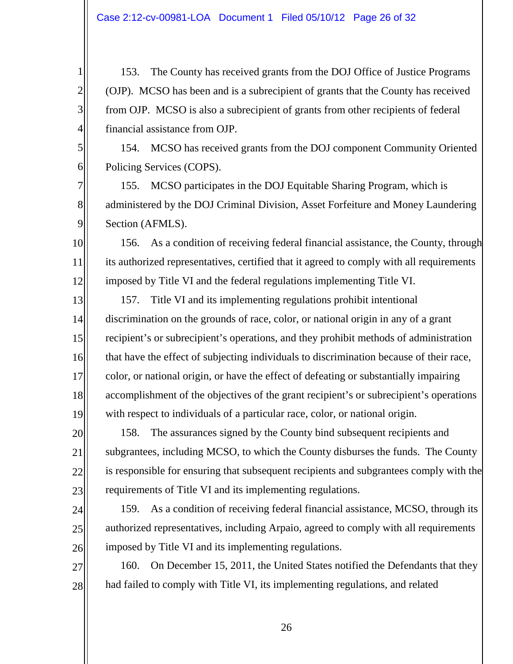2

3

4

5

6

7

8

9

10

11

12

20

21

22

23

24

25

26

27

28

153. The County has received grants from the DOJ Office of Justice Programs (OJP). MCSO has been and is a subrecipient of grants that the County has received from OJP. MCSO is also a subrecipient of grants from other recipients of federal financial assistance from OJP.

154. MCSO has received grants from the DOJ component Community Oriented Policing Services (COPS).

155. MCSO participates in the DOJ Equitable Sharing Program, which is administered by the DOJ Criminal Division, Asset Forfeiture and Money Laundering Section (AFMLS).

156. As a condition of receiving federal financial assistance, the County, through its authorized representatives, certified that it agreed to comply with all requirements imposed by Title VI and the federal regulations implementing Title VI.

13 14 15 16 17 18 19 157. Title VI and its implementing regulations prohibit intentional discrimination on the grounds of race, color, or national origin in any of a grant recipient's or subrecipient's operations, and they prohibit methods of administration that have the effect of subjecting individuals to discrimination because of their race, color, or national origin, or have the effect of defeating or substantially impairing accomplishment of the objectives of the grant recipient's or subrecipient's operations with respect to individuals of a particular race, color, or national origin.

158. The assurances signed by the County bind subsequent recipients and subgrantees, including MCSO, to which the County disburses the funds. The County is responsible for ensuring that subsequent recipients and subgrantees comply with the requirements of Title VI and its implementing regulations.

159. As a condition of receiving federal financial assistance, MCSO, through its authorized representatives, including Arpaio, agreed to comply with all requirements imposed by Title VI and its implementing regulations.

160. On December 15, 2011, the United States notified the Defendants that they had failed to comply with Title VI, its implementing regulations, and related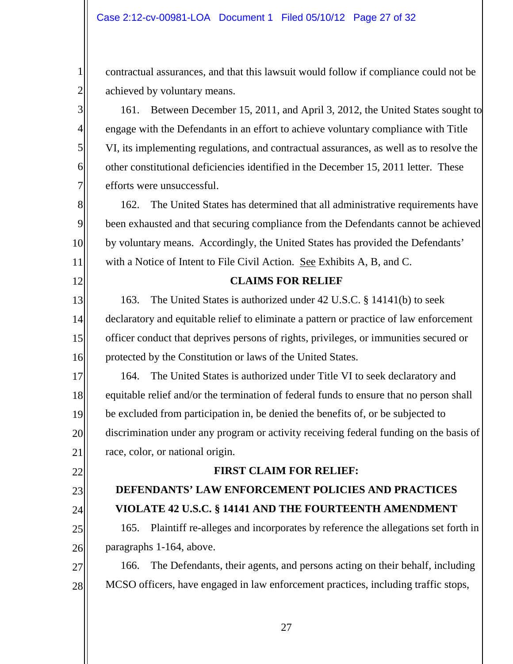2

3

4

5

6

7

8

9

10

11

12

13

14

15

16

22

23

24

25

26

contractual assurances, and that this lawsuit would follow if compliance could not be achieved by voluntary means.

161. Between December 15, 2011, and April 3, 2012, the United States sought to engage with the Defendants in an effort to achieve voluntary compliance with Title VI, its implementing regulations, and contractual assurances, as well as to resolve the other constitutional deficiencies identified in the December 15, 2011 letter. These efforts were unsuccessful.

162. The United States has determined that all administrative requirements have been exhausted and that securing compliance from the Defendants cannot be achieved by voluntary means. Accordingly, the United States has provided the Defendants' with a Notice of Intent to File Civil Action. See Exhibits A, B, and C.

### **CLAIMS FOR RELIEF**

163. The United States is authorized under 42 U.S.C. § 14141(b) to seek declaratory and equitable relief to eliminate a pattern or practice of law enforcement officer conduct that deprives persons of rights, privileges, or immunities secured or protected by the Constitution or laws of the United States.

17 18 19 20 21 164. The United States is authorized under Title VI to seek declaratory and equitable relief and/or the termination of federal funds to ensure that no person shall be excluded from participation in, be denied the benefits of, or be subjected to discrimination under any program or activity receiving federal funding on the basis of race, color, or national origin.

### **FIRST CLAIM FOR RELIEF:**

# **DEFENDANTS' LAW ENFORCEMENT POLICIES AND PRACTICES VIOLATE 42 U.S.C. § 14141 AND THE FOURTEENTH AMENDMENT**

165. Plaintiff re-alleges and incorporates by reference the allegations set forth in paragraphs 1-164, above.

27 28 166. The Defendants, their agents, and persons acting on their behalf, including MCSO officers, have engaged in law enforcement practices, including traffic stops,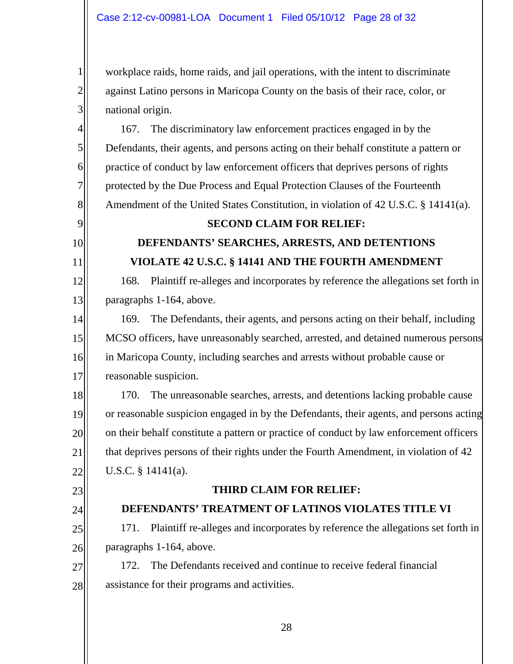workplace raids, home raids, and jail operations, with the intent to discriminate against Latino persons in Maricopa County on the basis of their race, color, or national origin.

167. The discriminatory law enforcement practices engaged in by the Defendants, their agents, and persons acting on their behalf constitute a pattern or practice of conduct by law enforcement officers that deprives persons of rights protected by the Due Process and Equal Protection Clauses of the Fourteenth Amendment of the United States Constitution, in violation of 42 U.S.C. § 14141(a).

### **SECOND CLAIM FOR RELIEF:**

# **DEFENDANTS' SEARCHES, ARRESTS, AND DETENTIONS VIOLATE 42 U.S.C. § 14141 AND THE FOURTH AMENDMENT**

168. Plaintiff re-alleges and incorporates by reference the allegations set forth in paragraphs 1-164, above.

169. The Defendants, their agents, and persons acting on their behalf, including MCSO officers, have unreasonably searched, arrested, and detained numerous persons in Maricopa County, including searches and arrests without probable cause or reasonable suspicion.

170. The unreasonable searches, arrests, and detentions lacking probable cause or reasonable suspicion engaged in by the Defendants, their agents, and persons acting on their behalf constitute a pattern or practice of conduct by law enforcement officers that deprives persons of their rights under the Fourth Amendment, in violation of 42 U.S.C. § 14141(a).

## **THIRD CLAIM FOR RELIEF:**

## 23 24

25

26

1

2

3

4

5

6

7

8

9

10

11

12

13

14

15

16

17

18

19

20

21

22

## **DEFENDANTS' TREATMENT OF LATINOS VIOLATES TITLE VI**

171. Plaintiff re-alleges and incorporates by reference the allegations set forth in paragraphs 1-164, above.

27 28 172. The Defendants received and continue to receive federal financial assistance for their programs and activities.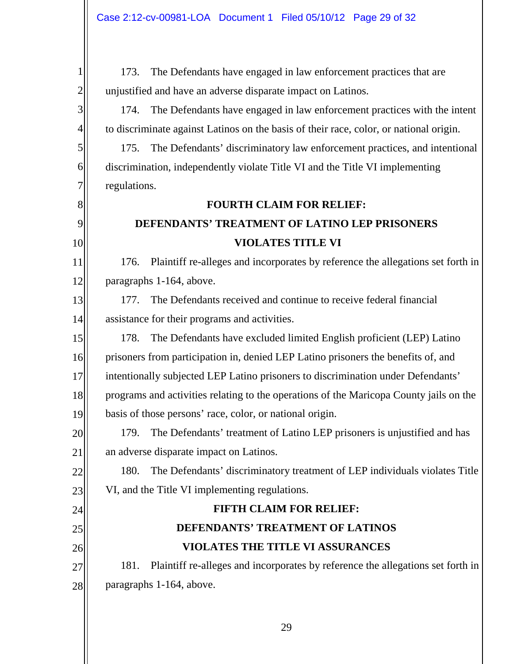2

3

4

5

6

7

8

9

10

11

12

22

23

24

25

26

27

28

173. The Defendants have engaged in law enforcement practices that are unjustified and have an adverse disparate impact on Latinos.

174. The Defendants have engaged in law enforcement practices with the intent to discriminate against Latinos on the basis of their race, color, or national origin.

175. The Defendants' discriminatory law enforcement practices, and intentional discrimination, independently violate Title VI and the Title VI implementing regulations.

# **FOURTH CLAIM FOR RELIEF: DEFENDANTS' TREATMENT OF LATINO LEP PRISONERS VIOLATES TITLE VI**

176. Plaintiff re-alleges and incorporates by reference the allegations set forth in paragraphs 1-164, above.

13 14 177. The Defendants received and continue to receive federal financial assistance for their programs and activities.

15 16 17 18 19 178. The Defendants have excluded limited English proficient (LEP) Latino prisoners from participation in, denied LEP Latino prisoners the benefits of, and intentionally subjected LEP Latino prisoners to discrimination under Defendants' programs and activities relating to the operations of the Maricopa County jails on the basis of those persons' race, color, or national origin.

20 21 179. The Defendants' treatment of Latino LEP prisoners is unjustified and has an adverse disparate impact on Latinos.

180. The Defendants' discriminatory treatment of LEP individuals violates Title VI, and the Title VI implementing regulations.

# **FIFTH CLAIM FOR RELIEF:**

## **DEFENDANTS' TREATMENT OF LATINOS VIOLATES THE TITLE VI ASSURANCES**

181. Plaintiff re-alleges and incorporates by reference the allegations set forth in paragraphs 1-164, above.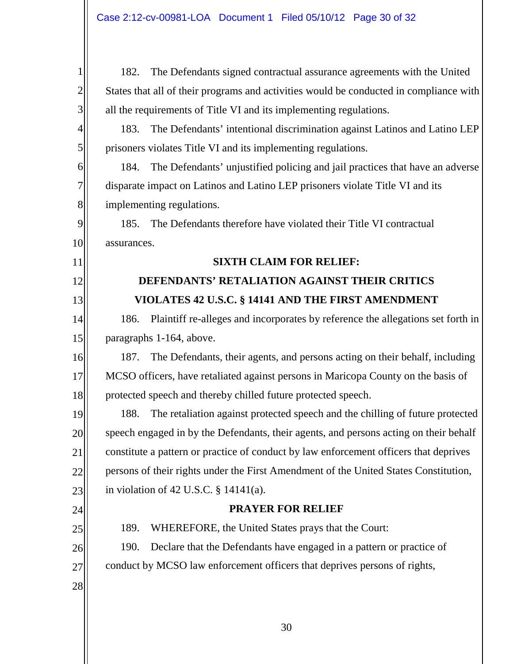182. The Defendants signed contractual assurance agreements with the United States that all of their programs and activities would be conducted in compliance with all the requirements of Title VI and its implementing regulations.

183. The Defendants' intentional discrimination against Latinos and Latino LEP prisoners violates Title VI and its implementing regulations.

184. The Defendants' unjustified policing and jail practices that have an adverse disparate impact on Latinos and Latino LEP prisoners violate Title VI and its implementing regulations.

185. The Defendants therefore have violated their Title VI contractual assurances.

## **SIXTH CLAIM FOR RELIEF:**

# **DEFENDANTS' RETALIATION AGAINST THEIR CRITICS VIOLATES 42 U.S.C. § 14141 AND THE FIRST AMENDMENT**

186. Plaintiff re-alleges and incorporates by reference the allegations set forth in paragraphs 1-164, above.

16 17 18 187. The Defendants, their agents, and persons acting on their behalf, including MCSO officers, have retaliated against persons in Maricopa County on the basis of protected speech and thereby chilled future protected speech.

19 20 21 22 23 188. The retaliation against protected speech and the chilling of future protected speech engaged in by the Defendants, their agents, and persons acting on their behalf constitute a pattern or practice of conduct by law enforcement officers that deprives persons of their rights under the First Amendment of the United States Constitution, in violation of 42 U.S.C. § 14141(a).

## **PRAYER FOR RELIEF**

25

26

27

24

1

2

3

4

5

6

7

8

9

10

11

12

13

14

15

189. WHEREFORE, the United States prays that the Court:

190. Declare that the Defendants have engaged in a pattern or practice of conduct by MCSO law enforcement officers that deprives persons of rights,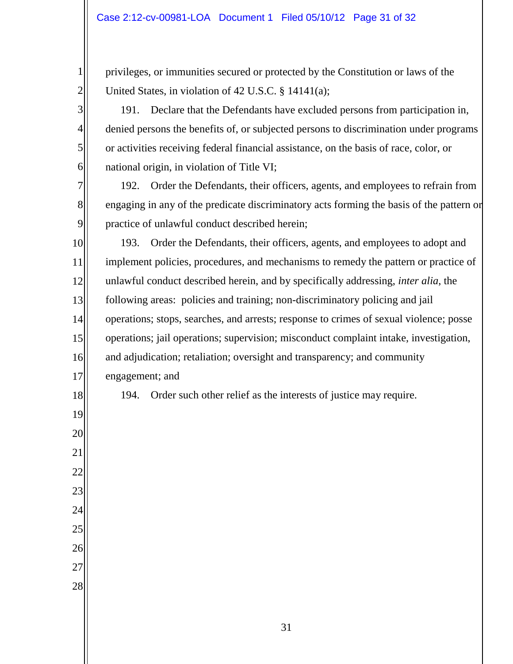privileges, or immunities secured or protected by the Constitution or laws of the United States, in violation of 42 U.S.C. § 14141(a);

191. Declare that the Defendants have excluded persons from participation in, denied persons the benefits of, or subjected persons to discrimination under programs or activities receiving federal financial assistance, on the basis of race, color, or national origin, in violation of Title VI;

192. Order the Defendants, their officers, agents, and employees to refrain from engaging in any of the predicate discriminatory acts forming the basis of the pattern or practice of unlawful conduct described herein;

 193. Order the Defendants, their officers, agents, and employees to adopt and implement policies, procedures, and mechanisms to remedy the pattern or practice of unlawful conduct described herein, and by specifically addressing, *inter alia*, the following areas: policies and training; non-discriminatory policing and jail operations; stops, searches, and arrests; response to crimes of sexual violence; posse operations; jail operations; supervision; misconduct complaint intake, investigation, and adjudication; retaliation; oversight and transparency; and community engagement; and

194. Order such other relief as the interests of justice may require.